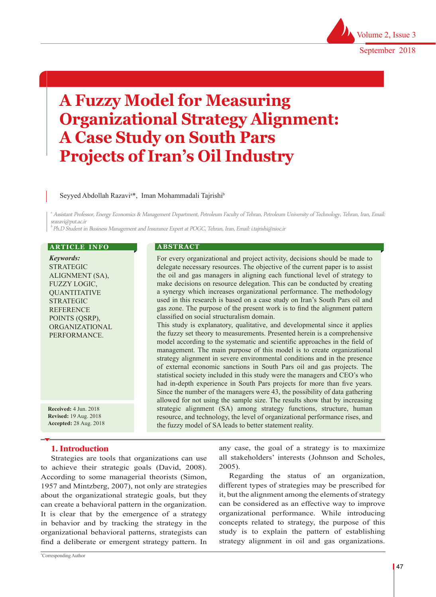# **A Fuzzy Model for Measuring Organizational Strategy Alignment: A Case Study on South Pars Projects of Iran's Oil Industry**

### Seyyed Abdollah Razavi<sup>a\*</sup>, Iman Mohammadali Tajrishi<sup>b</sup>

a Assistant Professor, Energy Economics & Management Department, Petroleum Faculty of Tehran, Petroleum University of Technology, Tehran, Iran, Email: srazavi@put.ac.ir

 $b$  Ph.D Student in Business Management and Insurance Expert at POGC, Tehran, Iran, Email: i.tajrishi@nioc.ir

| <b>ARTICLE INFO</b> |  |
|---------------------|--|
|                     |  |

*Keywords:* STRATEGIC ALIGNMENT (SA), FUZZY LOGIC, **OUANTITATIVE** STRATEGIC **REFERENCE** POINTS (QSRP), ORGANIZATIONAL PERFORMANCE.

**Received:** 4 Jun. 2018 **Revised:** 19 Aug. 2018 **Accepted:** 28 Aug. 2018

## **1. Introduction**

Strategies are tools that organizations can use to achieve their strategic goals (David, 2008). According to some managerial theorists (Simon, 1957 and Mintzberg, 2007), not only are strategies about the organizational strategic goals, but they can create a behavioral pattern in the organization. It is clear that by the emergence of a strategy in behavior and by tracking the strategy in the organizational behavioral patterns, strategists can find a deliberate or emergent strategy pattern. In

#### **A B S T R A C T**

For every organizational and project activity, decisions should be made to delegate necessary resources. The objective of the current paper is to assist the oil and gas managers in aligning each functional level of strategy to make decisions on resource delegation. This can be conducted by creating a synergy which increases organizational performance. The methodology used in this research is based on a case study on Iran's South Pars oil and gas zone. The purpose of the present work is to find the alignment pattern classified on social structuralism domain. This study is explanatory, qualitative, and developmental since it applies the fuzzy set theory to measurements. Presented herein is a comprehensive model according to the systematic and scientific approaches in the field of management. The main purpose of this model is to create organizational strategy alignment in severe environmental conditions and in the presence of external economic sanctions in South Pars oil and gas projects. The statistical society included in this study were the managers and CEO's who had in-depth experience in South Pars projects for more than five years. Since the number of the managers were 43, the possibility of data gathering allowed for not using the sample size. The results show that by increasing strategic alignment (SA) among strategy functions, structure, human resource, and technology, the level of organizational performance rises, and the fuzzy model of SA leads to better statement reality.

> any case, the goal of a strategy is to maximize all stakeholders' interests (Johnson and Scholes, 2005).

> Regarding the status of an organization, different types of strategies may be prescribed for it, but the alignment among the elements of strategy can be considered as an effective way to improve organizational performance. While introducing concepts related to strategy, the purpose of this study is to explain the pattern of establishing strategy alignment in oil and gas organizations.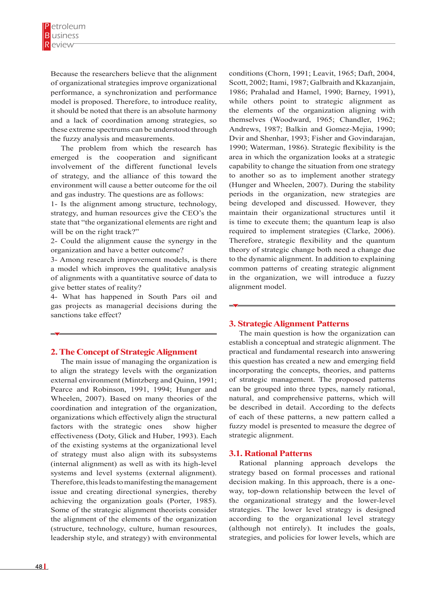Because the researchers believe that the alignment of organizational strategies improve organizational performance, a synchronization and performance model is proposed. Therefore, to introduce reality, it should be noted that there is an absolute harmony and a lack of coordination among strategies, so these extreme spectrums can be understood through the fuzzy analysis and measurements.

The problem from which the research has emerged is the cooperation and significant involvement of the different functional levels of strategy, and the alliance of this toward the environment will cause a better outcome for the oil and gas industry. The questions are as follows:

1- Is the alignment among structure, technology, strategy, and human resources give the CEO's the state that "the organizational elements are right and will be on the right track?"

2- Could the alignment cause the synergy in the organization and have a better outcome?

3- Among research improvement models, is there a model which improves the qualitative analysis of alignments with a quantitative source of data to give better states of reality?

4- What has happened in South Pars oil and gas projects as managerial decisions during the sanctions take effect?

#### **2. The Concept of Strategic Alignment**

The main issue of managing the organization is to align the strategy levels with the organization external environment (Mintzberg and Quinn, 1991; Pearce and Robinson, 1991, 1994; Hunger and Wheelen, 2007). Based on many theories of the coordination and integration of the organization, organizations which effectively align the structural factors with the strategic ones show higher effectiveness (Doty, Glick and Huber, 1993). Each of the existing systems at the organizational level of strategy must also align with its subsystems (internal alignment) as well as with its high-level systems and level systems (external alignment). Therefore, this leads to manifesting the management issue and creating directional synergies, thereby achieving the organization goals (Porter, 1985). Some of the strategic alignment theorists consider the alignment of the elements of the organization (structure, technology, culture, human resources, leadership style, and strategy) with environmental

conditions (Chorn, 1991; Leavit, 1965; Daft, 2004, Scott, 2002; Itami, 1987; Galbraith and Kkazanjain, 1986; Prahalad and Hamel, 1990; Barney, 1991), while others point to strategic alignment as the elements of the organization aligning with themselves (Woodward, 1965; Chandler, 1962; Andrews, 1987; Balkin and Gomez-Mejia, 1990; Dvir and Shenhar, 1993; Fisher and Govindarajan, 1990; Waterman, 1986). Strategic flexibility is the area in which the organization looks at a strategic capability to change the situation from one strategy to another so as to implement another strategy (Hunger and Wheelen, 2007). During the stability periods in the organization, new strategies are being developed and discussed. However, they maintain their organizational structures until it is time to execute them; the quantum leap is also required to implement strategies (Clarke, 2006). Therefore, strategic flexibility and the quantum theory of strategic change both need a change due to the dynamic alignment. In addition to explaining common patterns of creating strategic alignment in the organization, we will introduce a fuzzy alignment model.

**3. Strategic Alignment Patterns**

The main question is how the organization can establish a conceptual and strategic alignment. The practical and fundamental research into answering this question has created a new and emerging field incorporating the concepts, theories, and patterns of strategic management. The proposed patterns can be grouped into three types, namely rational, natural, and comprehensive patterns, which will be described in detail. According to the defects of each of these patterns, a new pattern called a fuzzy model is presented to measure the degree of strategic alignment.

#### **3.1. Rational Patterns**

Rational planning approach develops the strategy based on formal processes and rational decision making. In this approach, there is a oneway, top-down relationship between the level of the organizational strategy and the lower-level strategies. The lower level strategy is designed according to the organizational level strategy (although not entirely). It includes the goals, strategies, and policies for lower levels, which are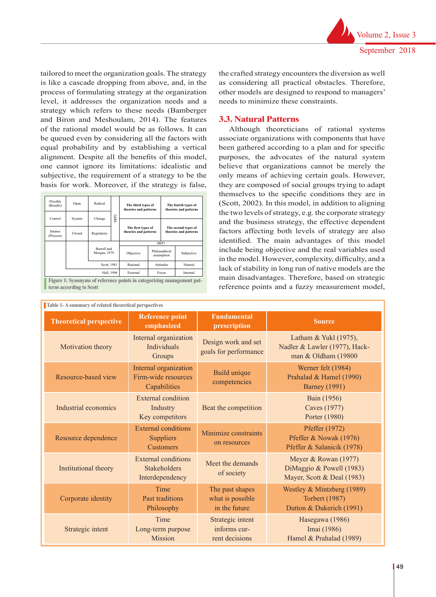tailored to meet the organization goals. The strategy is like a cascade dropping from above, and, in the process of formulating strategy at the organization level, it addresses the organization needs and a strategy which refers to these needs (Bamberger and Biron and Meshoulam, 2014). The features of the rational model would be as follows. It can be queued even by considering all the factors with equal probability and by establishing a vertical alignment. Despite all the benefits of this model, one cannot ignore its limitations: idealistic and subjective, the requirement of a strategy to be the basis for work. Moreover, if the strategy is false,

| Flexible<br>(Results) | Open   | Radical                                    |                  | The third types of<br>theories and patterns |                                              | The fourth types of<br>theories and patterns |            |
|-----------------------|--------|--------------------------------------------|------------------|---------------------------------------------|----------------------------------------------|----------------------------------------------|------------|
| Control               | System | Change                                     | SRP <sub>2</sub> |                                             |                                              |                                              |            |
| Intense<br>(Process)  | Closed | Regulatory                                 |                  | The first types of<br>theories and patterns | The second types of<br>theories and patterns |                                              |            |
|                       |        |                                            |                  | <b>SRP1</b>                                 |                                              |                                              |            |
|                       |        | Burrell and<br>Morgan, 1979<br>Scott, 1981 |                  | Objective                                   |                                              | Philosophical<br>assumption                  | Subjective |
|                       |        |                                            |                  | Rational                                    | Attitudes                                    |                                              | Natural    |
| Hall, 1996            |        | External                                   | Focus            |                                             | Internal                                     |                                              |            |

**the major advantages of the integrated and integrated and integrated and integrated and integrated and integrated and integrated and integrated and integrated and integrated and integrated and integrated and integrated an Figure 1: Synonyms of reference points in categorizing management pat-** the crafted strategy encounters the diversion as well as considering all practical obstacles. Therefore, other models are designed to respond to managers' needs to minimize these constraints.

## **3.3. Natural Patterns**

Although theoreticians of rational systems associate organizations with components that have been gathered according to a plan and for specific purposes, the advocates of the natural system believe that organizations cannot be merely the only means of achieving certain goals. However, they are composed of social groups trying to adapt themselves to the specific conditions they are in (Scott, 2002). In this model, in addition to aligning the two levels of strategy, e.g. the corporate strategy and the business strategy, the effective dependent factors affecting both levels of strategy are also identified. The main advantages of this model include being objective and the real variables used in the model. However, complexity, difficulty, and a lack of stability in long run of native models are the main disadvantages. Therefore, based on strategic reference points and a fuzzy measurement model,

| Table 1-A summary of related theoretical perspectives |                                                                      |                                                    |                                                                                 |  |  |  |
|-------------------------------------------------------|----------------------------------------------------------------------|----------------------------------------------------|---------------------------------------------------------------------------------|--|--|--|
| <b>Theoretical perspective</b>                        | <b>Reference point</b><br>emphasized                                 | <b>Fundamental</b><br>prescription                 | <b>Source</b>                                                                   |  |  |  |
| Motivation theory                                     | Internal organization<br><b>Individuals</b><br>Groups                | Design work and set<br>goals for performance       | Latham & Yukl (1975),<br>Nadler & Lawler (1977), Hack-<br>man & Oldham (19800   |  |  |  |
| Resource-based view                                   | Internal organization<br>Firm-wide resources<br>Capabilities         | <b>Build unique</b><br>competencies                | Werner felt (1984)<br>Prahalad & Hamel (1990)<br><b>Barney</b> (1991)           |  |  |  |
| Industrial economics                                  | External condition<br>Industry<br>Key competitors                    | Beat the competition                               | Bain (1956)<br>Caves (1977)<br>Porter (1980)                                    |  |  |  |
| Resource dependence                                   | <b>External conditions</b><br><b>Suppliers</b><br><b>Customers</b>   | Minimize constraints<br>on resources               | Pfeffer (1972)<br>Pfeffer & Nowak (1976)<br>Pfeffer & Salanicik (1978)          |  |  |  |
| Institutional theory                                  | <b>External conditions</b><br><b>Stakeholders</b><br>Interdependency | Meet the demands<br>of society                     | Meyer & Rowan (1977)<br>DiMaggio & Powell (1983)<br>Mayer, Scott & Deal (1983)  |  |  |  |
| Corporate identity                                    | Time<br>Past traditions<br>Philosophy                                |                                                    | Westley & Mintzberg (1989)<br><b>Torbert (1987)</b><br>Dutton & Dukerich (1991) |  |  |  |
| Strategic intent                                      | Time<br>Long-term purpose<br><b>Mission</b>                          | Strategic intent<br>informs cur-<br>rent decisions | Hasegawa (1986)<br>Imai (1986)<br>Hamel & Prahalad (1989)                       |  |  |  |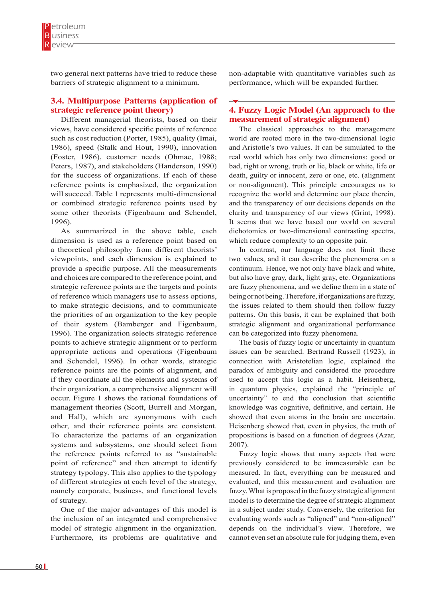two general next patterns have tried to reduce these barriers of strategic alignment to a minimum.

## **3.4. Multipurpose Patterns (application of strategic reference point theory)**

Different managerial theorists, based on their views, have considered specific points of reference such as cost reduction (Porter, 1985), quality (Imai, 1986), speed (Stalk and Hout, 1990), innovation (Foster, 1986), customer needs (Ohmae, 1988; Peters, 1987), and stakeholders (Handerson, 1990) for the success of organizations. If each of these reference points is emphasized, the organization will succeed. Table 1 represents multi-dimensional or combined strategic reference points used by some other theorists (Figenbaum and Schendel, 1996).

As summarized in the above table, each dimension is used as a reference point based on a theoretical philosophy from different theorists' viewpoints, and each dimension is explained to provide a specific purpose. All the measurements and choices are compared to the reference point, and strategic reference points are the targets and points of reference which managers use to assess options, to make strategic decisions, and to communicate the priorities of an organization to the key people of their system (Bamberger and Figenbaum, 1996). The organization selects strategic reference points to achieve strategic alignment or to perform appropriate actions and operations (Figenbaum and Schendel, 1996). In other words, strategic reference points are the points of alignment, and if they coordinate all the elements and systems of their organization, a comprehensive alignment will occur. Figure 1 shows the rational foundations of management theories (Scott, Burrell and Morgan, and Hall), which are synonymous with each other, and their reference points are consistent. To characterize the patterns of an organization systems and subsystems, one should select from the reference points referred to as "sustainable point of reference" and then attempt to identify strategy typology. This also applies to the typology of different strategies at each level of the strategy, namely corporate, business, and functional levels of strategy.

One of the major advantages of this model is the inclusion of an integrated and comprehensive model of strategic alignment in the organization. Furthermore, its problems are qualitative and non-adaptable with quantitative variables such as performance, which will be expanded further.

## **4. Fuzzy Logic Model (An approach to the measurement of strategic alignment)**

The classical approaches to the management world are rooted more in the two-dimensional logic and Aristotle's two values. It can be simulated to the real world which has only two dimensions: good or bad, right or wrong, truth or lie, black or white, life or death, guilty or innocent, zero or one, etc. (alignment or non-alignment). This principle encourages us to recognize the world and determine our place therein, and the transparency of our decisions depends on the clarity and transparency of our views (Grint, 1998). It seems that we have based our world on several dichotomies or two-dimensional contrasting spectra, which reduce complexity to an opposite pair.

In contrast, our language does not limit these two values, and it can describe the phenomena on a continuum. Hence, we not only have black and white, but also have gray, dark, light gray, etc. Organizations are fuzzy phenomena, and we define them in a state of being or not being. Therefore, if organizations are fuzzy, the issues related to them should then follow fuzzy patterns. On this basis, it can be explained that both strategic alignment and organizational performance can be categorized into fuzzy phenomena.

The basis of fuzzy logic or uncertainty in quantum issues can be searched. Bertrand Russell (1923), in connection with Aristotelian logic, explained the paradox of ambiguity and considered the procedure used to accept this logic as a habit. Heisenberg, in quantum physics, explained the "principle of uncertainty" to end the conclusion that scientific knowledge was cognitive, definitive, and certain. He showed that even atoms in the brain are uncertain. Heisenberg showed that, even in physics, the truth of propositions is based on a function of degrees (Azar, 2007).

Fuzzy logic shows that many aspects that were previously considered to be immeasurable can be measured. In fact, everything can be measured and evaluated, and this measurement and evaluation are fuzzy. What is proposed in the fuzzy strategic alignment model is to determine the degree of strategic alignment in a subject under study. Conversely, the criterion for evaluating words such as "aligned" and "non-aligned" depends on the individual's view. Therefore, we cannot even set an absolute rule for judging them, even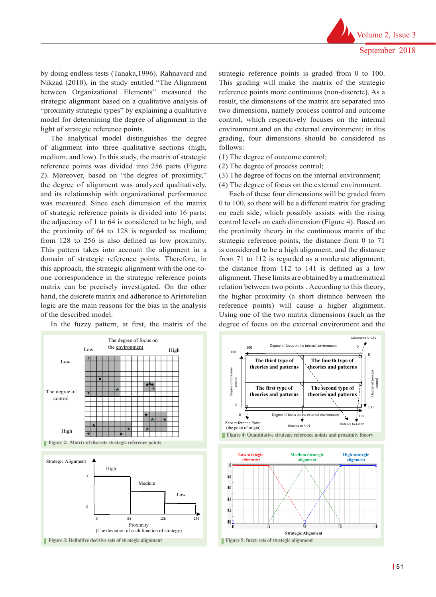by doing endless tests (Tanaka,1996). Rahnavard and Nikzad (2010), in the study entitled "The Alignment between Organizational Elements" measured the strategic alignment based on a qualitative analysis of "proximity strategic types" by explaining a qualitative model for determining the degree of alignment in the light of strategic reference points.

The analytical model distinguishes the degree of alignment into three qualitative sections (high, medium, and low). In this study, the matrix of strategic reference points was divided into 256 parts (Figure 2). Moreover, based on "the degree of proximity," the degree of alignment was analyzed qualitatively, and its relationship with organizational performance was measured. Since each dimension of the matrix of strategic reference points is divided into 16 parts; the adjacency of 1 to 64 is considered to be high, and the proximity of 64 to 128 is regarded as medium; from 128 to 256 is also defined as low proximity. This pattern takes into account the alignment in a domain of strategic reference points. Therefore, in this approach, the strategic alignment with the one-toone correspondence in the strategic reference points matrix can be precisely investigated. On the other hand, the discrete matrix and adherence to Aristotelian logic are the main reasons for the bias in the analysis reference points of the described model.

In the fuzzy pattern, at first, the matrix of the

strategic reference points is graded from 0 to 100. This grading will make the matrix of the strategic reference points more continuous (non-discrete). As a result, the dimensions of the matrix are separated into two dimensions, namely process control and outcome control, which respectively focuses on the internal environment and on the external environment; in this grading, four dimensions should be considered as follows:

- (1) The degree of outcome control;
- (2) The degree of process control;
- (3) The degree of focus on the internal environment;
- (4) The degree of focus on the external environment.

Each of these four dimensions will be graded from 0 to 100, so there will be a different matrix for grading on each side, which possibly assists with the rising control levels on each dimension (Figure 4). Based on the proximity theory in the continuous matrix of the strategic reference points, the distance from 0 to 71 a is considered to be a high alignment, and the distance from 71 to 112 is regarded as a moderate alignment; the distance from 112 to 141 is defined as a low 1 alignment. These limits are obtained by a mathematical relation between two points . According to this theory, the higher proximity (a short distance between the reference points) will cause a higher alignment. Using one of the two matrix dimensions (such as the degree of focus on the external environment and the Medium



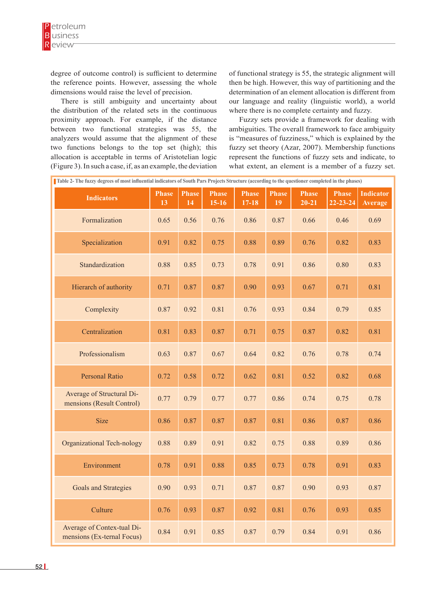degree of outcome control) is sufficient to determine the reference points. However, assessing the whole dimensions would raise the level of precision.

There is still ambiguity and uncertainty about the distribution of the related sets in the continuous proximity approach. For example, if the distance between two functional strategies was 55, the analyzers would assume that the alignment of these two functions belongs to the top set (high); this allocation is acceptable in terms of Aristotelian logic (Figure 3). In such a case, if, as an example, the deviation of functional strategy is 55, the strategic alignment will then be high. However, this way of partitioning and the determination of an element allocation is different from our language and reality (linguistic world), a world where there is no complete certainty and fuzzy.

Fuzzy sets provide a framework for dealing with ambiguities. The overall framework to face ambiguity is "measures of fuzziness," which is explained by the fuzzy set theory (Azar, 2007). Membership functions represent the functions of fuzzy sets and indicate, to what extent, an element is a member of a fuzzy set.

| Table 2- The fuzzy degrees of most influential indicators of South Pars Projects Structure (according to the questioner completed in the phases) |                    |                    |                         |                         |                    |                           |                                |                                    |
|--------------------------------------------------------------------------------------------------------------------------------------------------|--------------------|--------------------|-------------------------|-------------------------|--------------------|---------------------------|--------------------------------|------------------------------------|
| <b>Indicators</b>                                                                                                                                | <b>Phase</b><br>13 | <b>Phase</b><br>14 | <b>Phase</b><br>$15-16$ | <b>Phase</b><br>$17-18$ | <b>Phase</b><br>19 | <b>Phase</b><br>$20 - 21$ | <b>Phase</b><br>$22 - 23 - 24$ | <b>Indicator</b><br><b>Average</b> |
| Formalization                                                                                                                                    | 0.65               | 0.56               | 0.76                    | 0.86                    | 0.87               | 0.66                      | 0.46                           | 0.69                               |
| Specialization                                                                                                                                   | 0.91               | 0.82               | 0.75                    | 0.88                    | 0.89               | 0.76                      | 0.82                           | 0.83                               |
| Standardization                                                                                                                                  | 0.88               | 0.85               | 0.73                    | 0.78                    | 0.91               | 0.86                      | 0.80                           | 0.83                               |
| Hierarch of authority                                                                                                                            | 0.71               | 0.87               | 0.87                    | 0.90                    | 0.93               | 0.67                      | 0.71                           | 0.81                               |
| Complexity                                                                                                                                       | 0.87               | 0.92               | 0.81                    | 0.76                    | 0.93               | 0.84                      | 0.79                           | 0.85                               |
| Centralization                                                                                                                                   | 0.81               | 0.83               | 0.87                    | 0.71                    | 0.75               | 0.87                      | 0.82                           | 0.81                               |
| Professionalism                                                                                                                                  | 0.63               | 0.87               | 0.67                    | 0.64                    | 0.82               | 0.76                      | 0.78                           | 0.74                               |
| <b>Personal Ratio</b>                                                                                                                            | 0.72               | 0.58               | 0.72                    | 0.62                    | 0.81               | 0.52                      | 0.82                           | 0.68                               |
| Average of Structural Di-<br>mensions (Result Control)                                                                                           | 0.77               | 0.79               | 0.77                    | 0.77                    | 0.86               | 0.74                      | 0.75                           | 0.78                               |
| <b>Size</b>                                                                                                                                      | 0.86               | 0.87               | 0.87                    | 0.87                    | 0.81               | 0.86                      | 0.87                           | 0.86                               |
| <b>Organizational Tech-nology</b>                                                                                                                | 0.88               | 0.89               | 0.91                    | 0.82                    | 0.75               | 0.88                      | 0.89                           | 0.86                               |
| Environment                                                                                                                                      | 0.78               | 0.91               | 0.88                    | 0.85                    | 0.73               | 0.78                      | 0.91                           | 0.83                               |
| Goals and Strategies                                                                                                                             | 0.90               | 0.93               | 0.71                    | 0.87                    | 0.87               | 0.90                      | 0.93                           | 0.87                               |
| Culture                                                                                                                                          | 0.76               | 0.93               | 0.87                    | 0.92                    | 0.81               | 0.76                      | 0.93                           | 0.85                               |
| Average of Contex-tual Di-<br>mensions (Ex-ternal Focus)                                                                                         | 0.84               | 0.91               | 0.85                    | 0.87                    | 0.79               | 0.84                      | 0.91                           | 0.86                               |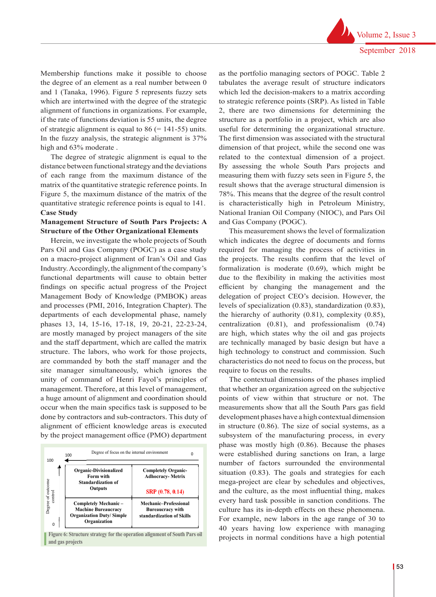Volume 2, Issue 3 September 2018

Membership functions make it possible to choose the degree of an element as a real number between 0 and 1 (Tanaka, 1996). Figure 5 represents fuzzy sets which are intertwined with the degree of the strategic alignment of functions in organizations. For example, if the rate of functions deviation is 55 units, the degree of strategic alignment is equal to  $86$  (= 141-55) units. In the fuzzy analysis, the strategic alignment is 37% high and  $63\%$  moderate.

The degree of strategic alignment is equal to the distance between functional strategy and the deviations of each range from the maximum distance of the matrix of the quantitative strategic reference points. In Figure 5, the maximum distance of the matrix of the quantitative strategic reference points is equal to 141. **Case Study** 

#### **Management Structure of South Pars Projects: A Structure of the Other Organizational Elements**

Herein, we investigate the whole projects of South Pars Oil and Gas Company (POGC) as a case study on a macro-project alignment of Iran's Oil and Gas Industry. Accordingly, the alignment of the company's functional departments will cause to obtain better findings on specific actual progress of the Project Management Body of Knowledge (PMBOK) areas and processes (PMI, 2016, Integration Chapter). The departments of each developmental phase, namely phases 13, 14, 15-16, 17-18, 19, 20-21, 22-23-24, are mostly managed by project managers of the site are high, which and the staff department, which are called the matrix are technically structure. The labors, who work for those projects, high technology are commanded by both the staff manager and the characteristics site manager simultaneously, which ignores the require to focus unity of command of Henri Fayol's principles of  $\overline{S}$ management. Therefore, at this level of management, that whether a<br>a local matrix along with the collaboration of the collaboration of collaboration of the collaboration of the a huge amount of alignment and coordination should a hage amount of angiment and coordination should points of view  $\frac{d}{dx}$  done by contractors and sub-contractors. This duty of  $\frac{d}{dx}$  development  $\frac{d}{dx}$ alignment of efficient knowledge areas is executed by the project management office (PMO) department subsystem



as the portfolio managing sectors of POGC. Table 2 tabulates the average result of structure indicators which led the decision-makers to a matrix according to strategic reference points (SRP). As listed in Table 2, there are two dimensions for determining the structure as a portfolio in a project, which are also useful for determining the organizational structure. The first dimension was associated with the structural dimension of that project, while the second one was related to the contextual dimension of a project. By assessing the whole South Pars projects and measuring them with fuzzy sets seen in Figure 5, the result shows that the average structural dimension is 78%. This means that the degree of the result control is characteristically high in Petroleum Ministry, National Iranian Oil Company (NIOC), and Pars Oil and Gas Company (POGC).

This measurement shows the level of formalization which indicates the degree of documents and forms required for managing the process of activities in the projects. The results confirm that the level of formalization is moderate (0.69), which might be due to the flexibility in making the activities most efficient by changing the management and the delegation of project CEO's decision. However, the levels of specialization (0.83), standardization (0.83), the hierarchy of authority (0.81), complexity (0.85), centralization (0.81), and professionalism (0.74) are high, which states why the oil and gas projects are technically managed by basic design but have a high technology to construct and commission. Such characteristics do not need to focus on the process, but require to focus on the results.

The contextual dimensions of the phases implied that whether an organization agreed on the subjective points of view within that structure or not. The measurements show that all the South Pars gas field development phases have a high contextual dimension in structure (0.86). The size of social systems, as a subsystem of the manufacturing process, in every phase was mostly high (0.86). Because the phases were established during sanctions on Iran, a large number of factors surrounded the environmental situation (0.83). The goals and strategies for each mega-project are clear by schedules and objectives, and the culture, as the most influential thing, makes every hard task possible in sanction conditions. The culture has its in-depth effects on these phenomena. For example, new labors in the age range of 30 to 40 years having low experience with managing Figure 6: Structure strategy for the operation alignment of South Pars oil **projects** in normal conditions have a high potential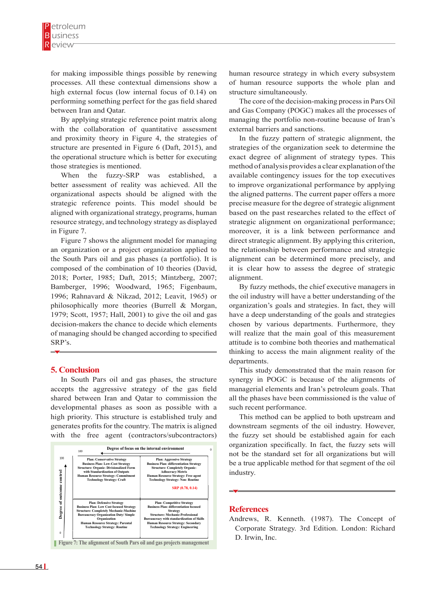for making impossible things possible by renewing processes. All these contextual dimensions show a high external focus (low internal focus of 0.14) on performing something perfect for the gas field shared between Iran and Qatar.

By applying strategic reference point matrix along with the collaboration of quantitative assessment and proximity theory in Figure 4, the strategies of structure are presented in Figure 6 (Daft, 2015), and the operational structure which is better for executing those strategies is mentioned.

When the fuzzy-SRP was established, a better assessment of reality was achieved. All the organizational aspects should be aligned with the strategic reference points. This model should be aligned with organizational strategy, programs, human b resource strategy, and technology strategy as displayed s in Figure 7. This possible things possible by renewing processes. All these contextual processes. All these contextual processes in the set of the set of the set of the set of the set of the set of the set of the set of th anghed with organizational strategy, programs, namali

Figure 7 shows the alignment model for managing d an organization or a project organization applied to the the South Pars oil and gas phases (a portfolio). It is a composed of the combination of 10 theories (David, 2018; Porter, 1985; Daft, 2015; Mintzberg, 2007; Bamberger, 1996; Woodward, 1965; Figenbaum, 1996; Rahnavard & Nikzad, 2012; Leavit, 1965) or philosophically more theories (Burrell & Morgan, 1979; Scott, 1957; Hall, 2001) to give the oil and gas decision-makers the chance to decide which elements of managing should be changed according to specified SRP's. rigure / shows the alignment model for presented in Figure 6 (Daft, 2015), and the operational structure which is better for  $\ddot{\ }$ ,  $\sim$ a<br>I

## **5. Conclusion model strategy**, programs, human resources  $\mathbf{z}$

In South Pars oil and gas phases, the structure accepts the aggressive strategy of the gas field  $\overline{a}$ shared between Iran and Qatar to commission the a developmental phases as soon as possible with a s high priority. This structure is established truly and generates profits for the country. The matrix is aligned with the free agent (contractors/subcontractors) accepts the aggressive strategy of the gas field in actrophically phases as soon as possible with a



human resource strategy in which every subsystem of human resource supports the whole plan and structure simultaneously.

The core of the decision-making process in Pars Oil and Gas Company (POGC) makes all the processes of managing the portfolio non-routine because of Iran's external barriers and sanctions.

In the fuzzy pattern of strategic alignment, the strategies of the organization seek to determine the exact degree of alignment of strategy types. This method of analysis provides a clear explanation of the available contingency issues for the top executives to improve organizational performance by applying the aligned patterns. The current paper offers a more precise measure for the degree of strategic alignment based on the past researches related to the effect of strategic alignment on organizational performance; moreover, it is a link between performance and direct strategic alignment. By applying this criterion, the relationship between performance and strategic alignment can be determined more precisely, and it is clear how to assess the degree of strategic alignment.

By fuzzy methods, the chief executive managers in the oil industry will have a better understanding of the organization's goals and strategies. In fact, they will have a deep understanding of the goals and strategies chosen by various departments. Furthermore, they will realize that the main goal of this measurement attitude is to combine both theories and mathematical thinking to access the main alignment reality of the departments. When the fuzzy-SRP was established, a better assessment of  $\mathfrak k$  $t$ 

> This study demonstrated that the main reason for synergy in POGC is because of the alignments of managerial elements and Iran's petroleum goals. That all the phases have been commissioned is the value of such recent performance.

> This method can be applied to both upstream and downstream segments of the oil industry. However, the fuzzy set should be established again for each organization specifically. In fact, the fuzzy sets will not be the standard set for all organizations but will be a true applicable method for that segment of the oil industry.

#### **References**

Andrews, R. Kenneth. (1987). The Concept of Corporate Strategy. 3rd Edition. London: Richard